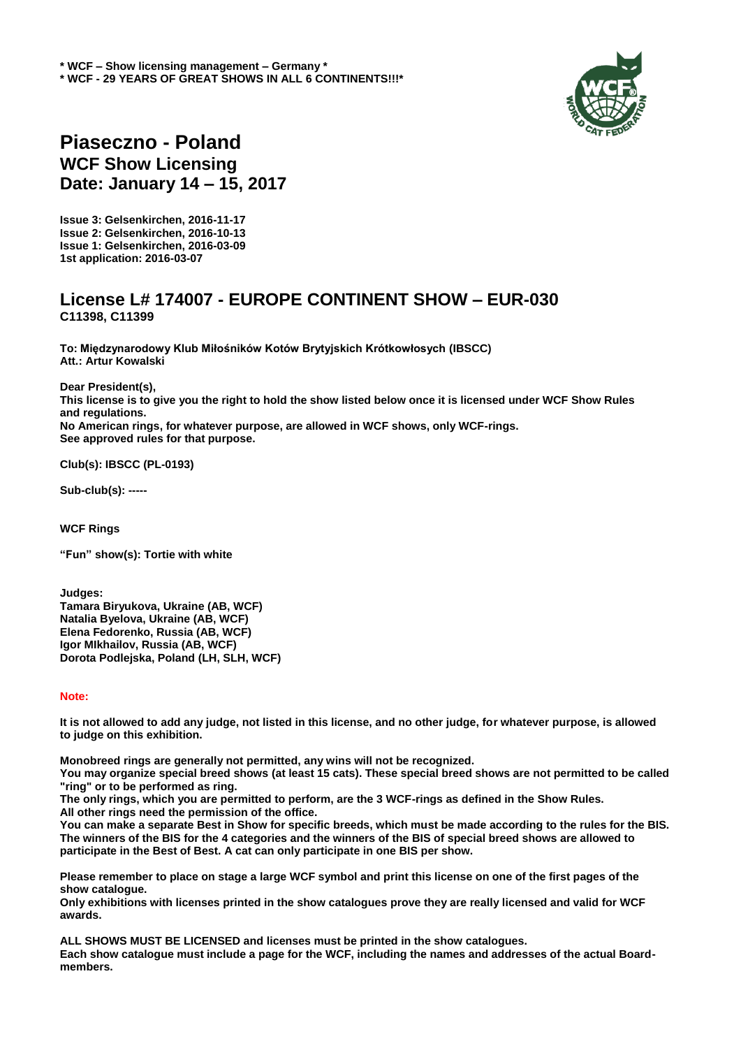

## **Piaseczno - Poland WCF Show Licensing Date: January 14 – 15, 2017**

**Issue 3: Gelsenkirchen, 2016-11-17 Issue 2: Gelsenkirchen, 2016-10-13 Issue 1: Gelsenkirchen, 2016-03-09 1st application: 2016-03-07**

## **License L# 174007 - EUROPE CONTINENT SHOW – EUR-030 C11398, C11399**

**To: Międzynarodowy Klub Miłośników Kotów Brytyjskich Krótkowłosych (IBSCC) Att.: Artur Kowalski**

**Dear President(s), This license is to give you the right to hold the show listed below once it is licensed under WCF Show Rules and regulations. No American rings, for whatever purpose, are allowed in WCF shows, only WCF-rings. See approved rules for that purpose.**

**Club(s): IBSCC (PL-0193)**

**Sub-club(s): -----**

**WCF Rings**

**"Fun" show(s): Tortie with white**

**Judges: Tamara Biryukova, Ukraine (AB, WCF) Natalia Byelova, Ukraine (AB, WCF) Elena Fedorenko, Russia (AB, WCF) Igor MIkhailov, Russia (AB, WCF) Dorota Podlejska, Poland (LH, SLH, WCF)**

## **Note:**

**It is not allowed to add any judge, not listed in this license, and no other judge, for whatever purpose, is allowed to judge on this exhibition.** 

**Monobreed rings are generally not permitted, any wins will not be recognized.** 

**You may organize special breed shows (at least 15 cats). These special breed shows are not permitted to be called "ring" or to be performed as ring.** 

**The only rings, which you are permitted to perform, are the 3 WCF-rings as defined in the Show Rules. All other rings need the permission of the office.** 

**You can make a separate Best in Show for specific breeds, which must be made according to the rules for the BIS. The winners of the BIS for the 4 categories and the winners of the BIS of special breed shows are allowed to participate in the Best of Best. A cat can only participate in one BIS per show.**

**Please remember to place on stage a large WCF symbol and print this license on one of the first pages of the show catalogue.** 

**Only exhibitions with licenses printed in the show catalogues prove they are really licensed and valid for WCF awards.** 

**ALL SHOWS MUST BE LICENSED and licenses must be printed in the show catalogues. Each show catalogue must include a page for the WCF, including the names and addresses of the actual Boardmembers.**